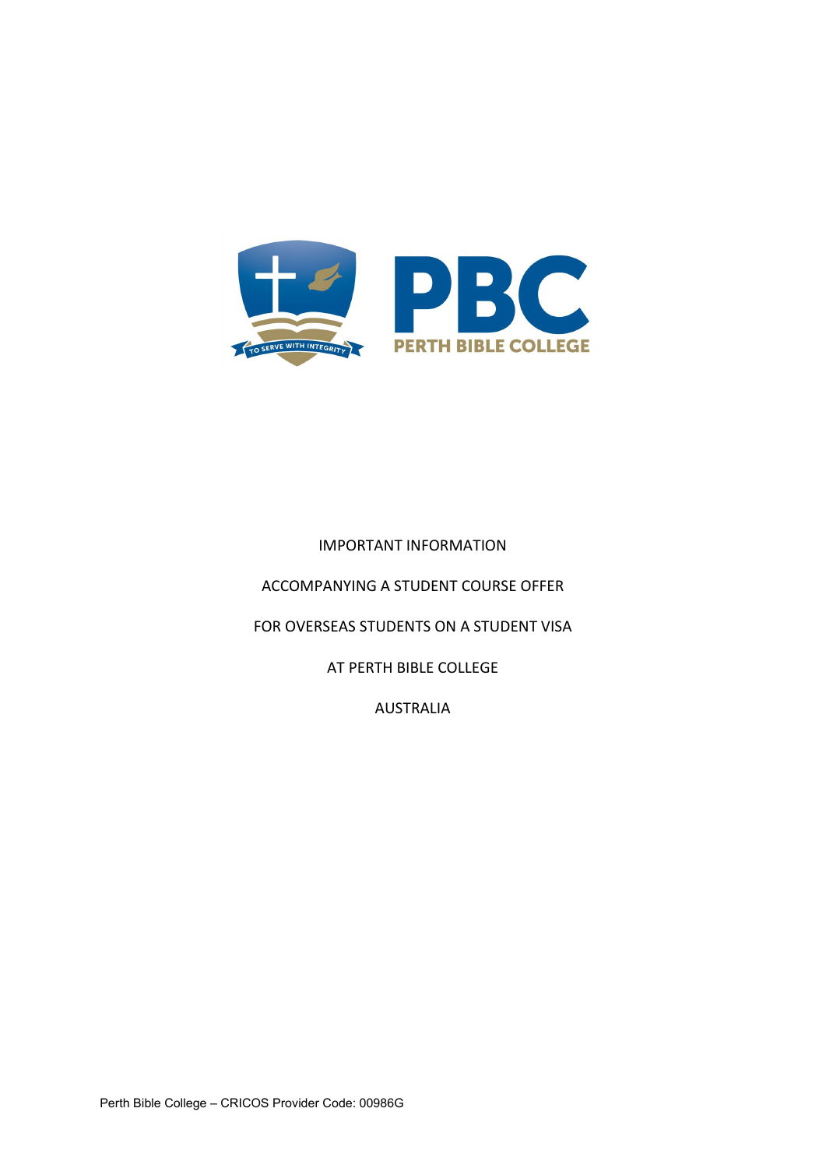

# IMPORTANT INFORMATION

ACCOMPANYING A STUDENT COURSE OFFER

FOR OVERSEAS STUDENTS ON A STUDENT VISA

AT PERTH BIBLE COLLEGE

AUSTRALIA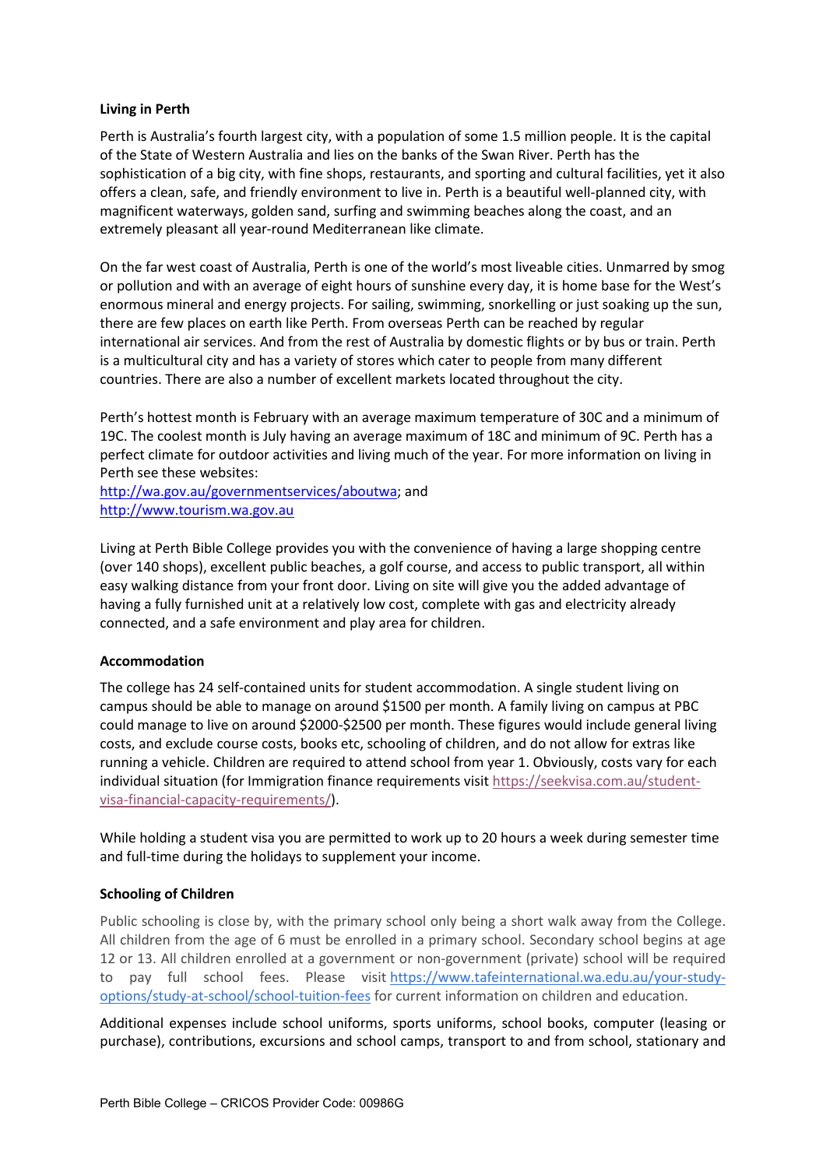#### **Living in Perth**

Perth is Australia's fourth largest city, with a population of some 1.5 million people. It is the capital of the State of Western Australia and lies on the banks of the Swan River. Perth has the sophistication of a big city, with fine shops, restaurants, and sporting and cultural facilities, yet it also offers a clean, safe, and friendly environment to live in. Perth is a beautiful well-planned city, with magnificent waterways, golden sand, surfing and swimming beaches along the coast, and an extremely pleasant all year-round Mediterranean like climate.

On the far west coast of Australia, Perth is one of the world's most liveable cities. Unmarred by smog or pollution and with an average of eight hours of sunshine every day, it is home base for the West's enormous mineral and energy projects. For sailing, swimming, snorkelling or just soaking up the sun, there are few places on earth like Perth. From overseas Perth can be reached by regular international air services. And from the rest of Australia by domestic flights or by bus or train. Perth is a multicultural city and has a variety of stores which cater to people from many different countries. There are also a number of excellent markets located throughout the city.

Perth's hottest month is February with an average maximum temperature of 30C and a minimum of 19C. The coolest month is July having an average maximum of 18C and minimum of 9C. Perth has a perfect climate for outdoor activities and living much of the year. For more information on living in Perth see these websites:

[http://wa.gov.au/governmentservices/aboutwa;](http://wa.gov.au/governmentservices/aboutwa) and [http://www.tourism.wa.gov.au](http://www.tourism.wa.gov.au/)

Living at Perth Bible College provides you with the convenience of having a large shopping centre (over 140 shops), excellent public beaches, a golf course, and access to public transport, all within easy walking distance from your front door. Living on site will give you the added advantage of having a fully furnished unit at a relatively low cost, complete with gas and electricity already connected, and a safe environment and play area for children.

### **Accommodation**

The college has 24 self-contained units for student accommodation. A single student living on campus should be able to manage on around \$1500 per month. A family living on campus at PBC could manage to live on around \$2000-\$2500 per month. These figures would include general living costs, and exclude course costs, books etc, schooling of children, and do not allow for extras like running a vehicle. Children are required to attend school from year 1. Obviously, costs vary for each individual situation (for Immigration finance requirements visit [https://seekvisa.com.au/student](https://seekvisa.com.au/student-visa-financial-capacity-requirements/)[visa-financial-capacity-requirements/\)](https://seekvisa.com.au/student-visa-financial-capacity-requirements/).

While holding a student visa you are permitted to work up to 20 hours a week during semester time and full-time during the holidays to supplement your income.

### **Schooling of Children**

Public schooling is close by, with the primary school only being a short walk away from the College. All children from the age of 6 must be enrolled in a primary school. Secondary school begins at age 12 or 13. All children enrolled at a government or non-government (private) school will be required to pay full school fees. Please visit [https://www.tafeinternational.wa.edu.au/your-study](https://www.tafeinternational.wa.edu.au/your-study-options/study-at-school/school-tuition-fees)[options/study-at-school/school-tuition-fees](https://www.tafeinternational.wa.edu.au/your-study-options/study-at-school/school-tuition-fees) for current information on children and education.

Additional expenses include school uniforms, sports uniforms, school books, computer (leasing or purchase), contributions, excursions and school camps, transport to and from school, stationary and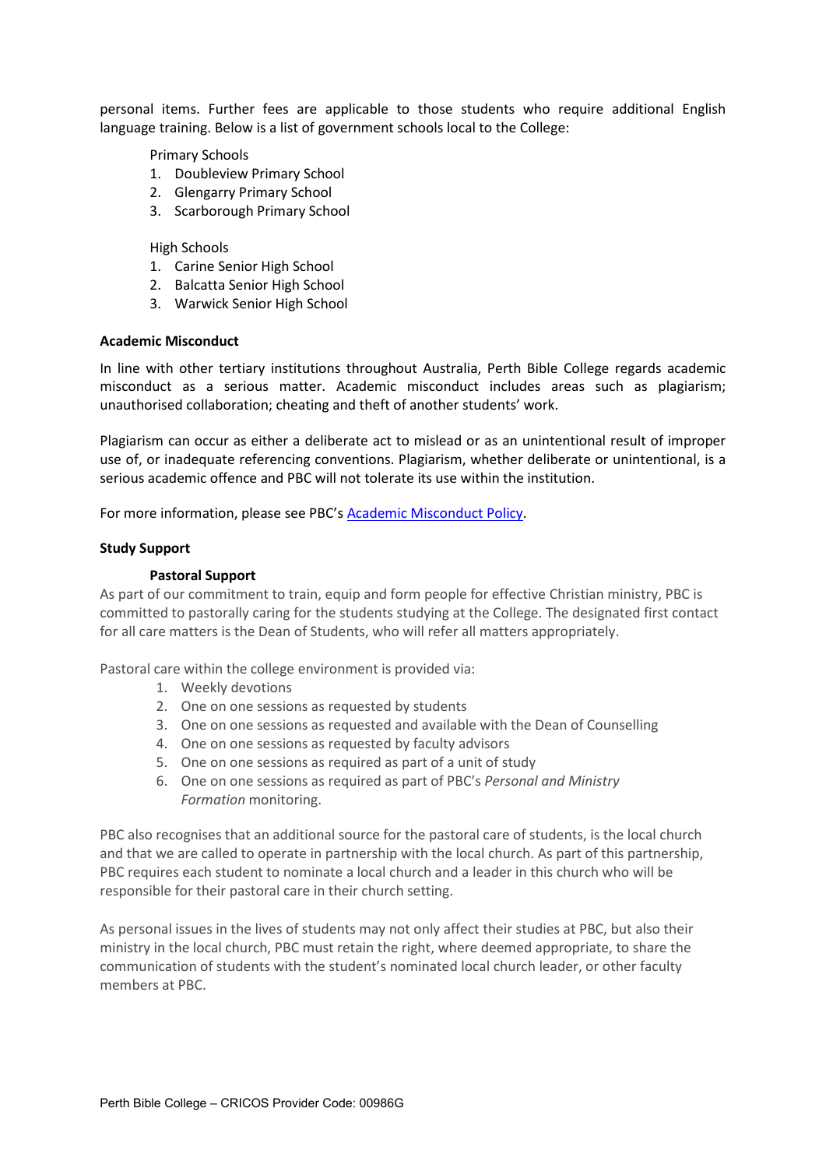personal items. Further fees are applicable to those students who require additional English language training. Below is a list of government schools local to the College:

Primary Schools

- 1. Doubleview Primary School
- 2. Glengarry Primary School
- 3. Scarborough Primary School

High Schools

- 1. Carine Senior High School
- 2. Balcatta Senior High School
- 3. Warwick Senior High School

#### **Academic Misconduct**

In line with other tertiary institutions throughout Australia, Perth Bible College regards academic misconduct as a serious matter. Academic misconduct includes areas such as plagiarism; unauthorised collaboration; cheating and theft of another students' work.

Plagiarism can occur as either a deliberate act to mislead or as an unintentional result of improper use of, or inadequate referencing conventions. Plagiarism, whether deliberate or unintentional, is a serious academic offence and PBC will not tolerate its use within the institution.

For more information, please see PBC's **Academic Misconduct Policy**.

#### **Study Support**

#### **Pastoral Support**

As part of our commitment to train, equip and form people for effective Christian ministry, PBC is committed to pastorally caring for the students studying at the College. The designated first contact for all care matters is the Dean of Students, who will refer all matters appropriately.

Pastoral care within the college environment is provided via:

- 1. Weekly devotions
- 2. One on one sessions as requested by students
- 3. One on one sessions as requested and available with the Dean of Counselling
- 4. One on one sessions as requested by faculty advisors
- 5. One on one sessions as required as part of a unit of study
- 6. One on one sessions as required as part of PBC's *Personal and Ministry Formation* monitoring.

PBC also recognises that an additional source for the pastoral care of students, is the local church and that we are called to operate in partnership with the local church. As part of this partnership, PBC requires each student to nominate a local church and a leader in this church who will be responsible for their pastoral care in their church setting.

As personal issues in the lives of students may not only affect their studies at PBC, but also their ministry in the local church, PBC must retain the right, where deemed appropriate, to share the communication of students with the student's nominated local church leader, or other faculty members at PBC.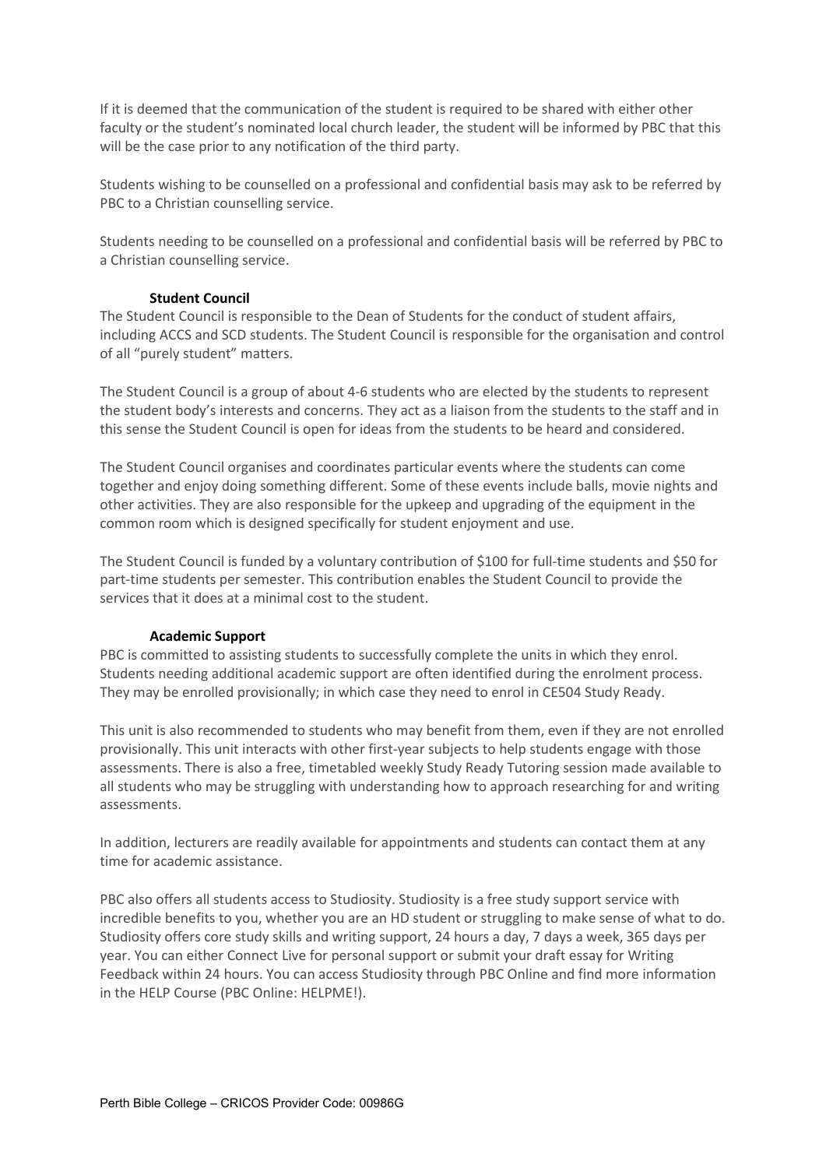If it is deemed that the communication of the student is required to be shared with either other faculty or the student's nominated local church leader, the student will be informed by PBC that this will be the case prior to any notification of the third party.

Students wishing to be counselled on a professional and confidential basis may ask to be referred by PBC to a Christian counselling service.

Students needing to be counselled on a professional and confidential basis will be referred by PBC to a Christian counselling service.

#### **Student Council**

The Student Council is responsible to the Dean of Students for the conduct of student affairs, including ACCS and SCD students. The Student Council is responsible for the organisation and control of all "purely student" matters.

The Student Council is a group of about 4-6 students who are elected by the students to represent the student body's interests and concerns. They act as a liaison from the students to the staff and in this sense the Student Council is open for ideas from the students to be heard and considered.

The Student Council organises and coordinates particular events where the students can come together and enjoy doing something different. Some of these events include balls, movie nights and other activities. They are also responsible for the upkeep and upgrading of the equipment in the common room which is designed specifically for student enjoyment and use.

The Student Council is funded by a voluntary contribution of \$100 for full-time students and \$50 for part-time students per semester. This contribution enables the Student Council to provide the services that it does at a minimal cost to the student.

#### **Academic Support**

PBC is committed to assisting students to successfully complete the units in which they enrol. Students needing additional academic support are often identified during the enrolment process. They may be enrolled provisionally; in which case they need to enrol in CE504 Study Ready.

This unit is also recommended to students who may benefit from them, even if they are not enrolled provisionally. This unit interacts with other first-year subjects to help students engage with those assessments. There is also a free, timetabled weekly Study Ready Tutoring session made available to all students who may be struggling with understanding how to approach researching for and writing assessments.

In addition, lecturers are readily available for appointments and students can contact them at any time for academic assistance.

PBC also offers all students access to Studiosity. Studiosity is a free study support service with incredible benefits to you, whether you are an HD student or struggling to make sense of what to do. Studiosity offers core study skills and writing support, 24 hours a day, 7 days a week, 365 days per year. You can either Connect Live for personal support or submit your draft essay for Writing Feedback within 24 hours. You can access Studiosity through PBC Online and find more information in the HELP Course (PBC Online: HELPME!).